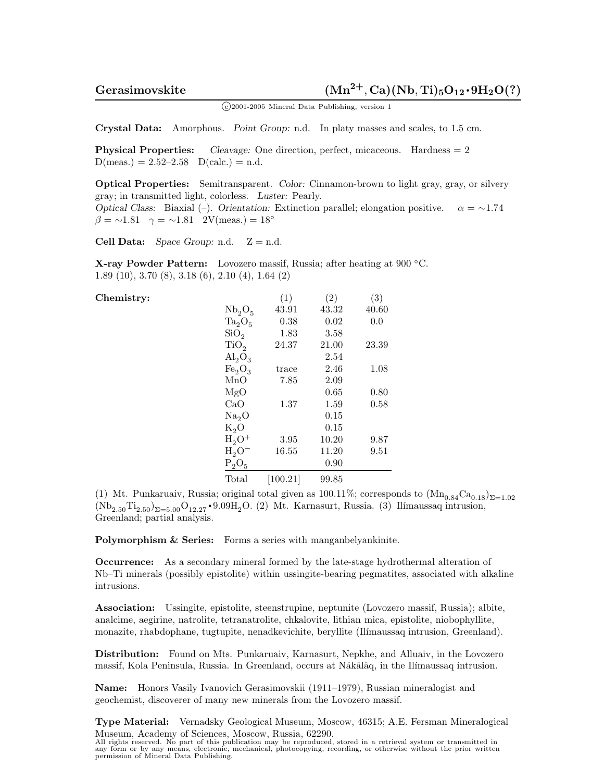<sup>c</sup> 2001-2005 Mineral Data Publishing, version 1

**Crystal Data:** Amorphous. *Point Group:* n.d. In platy masses and scales, to 1.5 cm.

**Physical Properties:** *Cleavage:* One direction, perfect, micaceous. Hardness = 2  $D(meas.) = 2.52-2.58$   $D(calc.) = n.d.$ 

**Optical Properties:** Semitransparent. *Color:* Cinnamon-brown to light gray, gray, or silvery gray; in transmitted light, colorless. *Luster:* Pearly. *Optical Class:* Biaxial (–). *Orientation:* Extinction parallel; elongation positive.  $\alpha = \sim 1.74$  $\beta = \sim 1.81$   $\gamma = \sim 1.81$  2V(meas.) = 18°

**Cell Data:** *Space Group:* n.d.  $Z = n.d.$ 

**X-ray Powder Pattern:** Lovozero massif, Russia; after heating at 900 ◦C. 1.89 (10), 3.70 (8), 3.18 (6), 2.10 (4), 1.64 (2)

## Chemistry:

|                                | (1)            | (2)   | (3)   |
|--------------------------------|----------------|-------|-------|
| Nb <sub>2</sub> O <sub>5</sub> | 43.91          | 43.32 | 40.60 |
| $Ta_2O_5$                      | $0.38\,$       | 0.02  | 0.0   |
| SiO <sub>2</sub>               | 1.83           | 3.58  |       |
| TiO <sub>2</sub>               | 24.37          | 21.00 | 23.39 |
| $\mathrm{Al}_2\mathrm{O}_3$    |                | 2.54  |       |
| Fe <sub>2</sub> O <sub>3</sub> | $_{\rm trace}$ | 2.46  | 1.08  |
| MnO                            | 7.85           | 2.09  |       |
| MgO                            |                | 0.65  | 0.80  |
| CaO                            | 1.37           | 1.59  | 0.58  |
| Na <sub>2</sub> O              |                | 0.15  |       |
| $K_2O$                         |                | 0.15  |       |
| $H_2O^+$                       | 3.95           | 10.20 | 9.87  |
| $H_2O^-$                       | 16.55          | 11.20 | 9.51  |
| $P_2O_5$                       |                | 0.90  |       |
| Total                          | [100.21]       | 99.85 |       |

(1) Mt. Punkaruaiv, Russia; original total given as 100.11%; corresponds to  $(Mn_{0.84}Ca_{0.18})_{\Sigma=1.02}$  $(Nb_{2.50}Ti_{2.50})_{\Sigma=5.00}O_{12.27}$  • 9.09H<sub>2</sub>O. (2) Mt. Karnasurt, Russia. (3) Ilímaussaq intrusion, Greenland; partial analysis.

**Polymorphism & Series:** Forms a series with manganbelyankinite.

**Occurrence:** As a secondary mineral formed by the late-stage hydrothermal alteration of Nb–Ti minerals (possibly epistolite) within ussingite-bearing pegmatites, associated with alkaline intrusions.

**Association:** Ussingite, epistolite, steenstrupine, neptunite (Lovozero massif, Russia); albite, analcime, aegirine, natrolite, tetranatrolite, chkalovite, lithian mica, epistolite, niobophyllite, monazite, rhabdophane, tugtupite, nenadkevichite, beryllite (Ilímaussaq intrusion, Greenland).

**Distribution:** Found on Mts. Punkaruaiv, Karnasurt, Nepkhe, and Alluaiv, in the Lovozero massif, Kola Peninsula, Russia. In Greenland, occurs at Nákâlâq, in the Ilímaussaq intrusion.

**Name:** Honors Vasily Ivanovich Gerasimovskii (1911–1979), Russian mineralogist and geochemist, discoverer of many new minerals from the Lovozero massif.

**Type Material:** Vernadsky Geological Museum, Moscow, 46315; A.E. Fersman Mineralogical Museum, Academy of Sciences, Moscow, Russia, 62290.

All rights reserved. No part of this publication may be reproduced, stored in a retrieval system or transmitted in any form or by any means, electronic, mechanical, photocopying, recording, or otherwise without the prior written permission of Mineral Data Publishing.